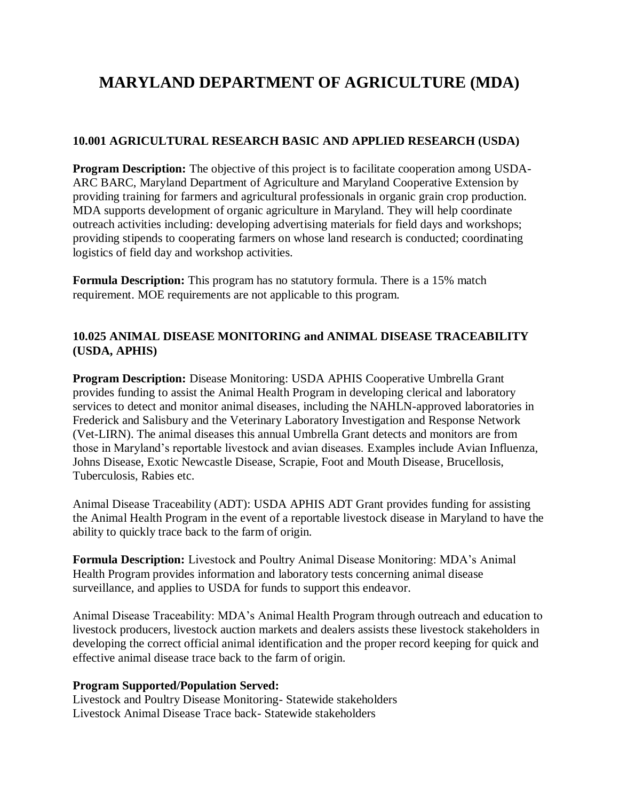# **MARYLAND DEPARTMENT OF AGRICULTURE (MDA)**

### **10.001 AGRICULTURAL RESEARCH BASIC AND APPLIED RESEARCH (USDA)**

**Program Description:** The objective of this project is to facilitate cooperation among USDA-ARC BARC, Maryland Department of Agriculture and Maryland Cooperative Extension by providing training for farmers and agricultural professionals in organic grain crop production. MDA supports development of organic agriculture in Maryland. They will help coordinate outreach activities including: developing advertising materials for field days and workshops; providing stipends to cooperating farmers on whose land research is conducted; coordinating logistics of field day and workshop activities.

**Formula Description:** This program has no statutory formula. There is a 15% match requirement. MOE requirements are not applicable to this program.

### **10.025 ANIMAL DISEASE MONITORING and ANIMAL DISEASE TRACEABILITY (USDA, APHIS)**

**Program Description:** Disease Monitoring: USDA APHIS Cooperative Umbrella Grant provides funding to assist the Animal Health Program in developing clerical and laboratory services to detect and monitor animal diseases, including the NAHLN-approved laboratories in Frederick and Salisbury and the Veterinary Laboratory Investigation and Response Network (Vet-LIRN). The animal diseases this annual Umbrella Grant detects and monitors are from those in Maryland's reportable livestock and avian diseases. Examples include Avian Influenza, Johns Disease, Exotic Newcastle Disease, Scrapie, Foot and Mouth Disease, Brucellosis, Tuberculosis, Rabies etc.

Animal Disease Traceability (ADT): USDA APHIS ADT Grant provides funding for assisting the Animal Health Program in the event of a reportable livestock disease in Maryland to have the ability to quickly trace back to the farm of origin.

**Formula Description:** Livestock and Poultry Animal Disease Monitoring: MDA's Animal Health Program provides information and laboratory tests concerning animal disease surveillance, and applies to USDA for funds to support this endeavor.

Animal Disease Traceability: MDA's Animal Health Program through outreach and education to livestock producers, livestock auction markets and dealers assists these livestock stakeholders in developing the correct official animal identification and the proper record keeping for quick and effective animal disease trace back to the farm of origin.

#### **Program Supported/Population Served:**

Livestock and Poultry Disease Monitoring- Statewide stakeholders Livestock Animal Disease Trace back- Statewide stakeholders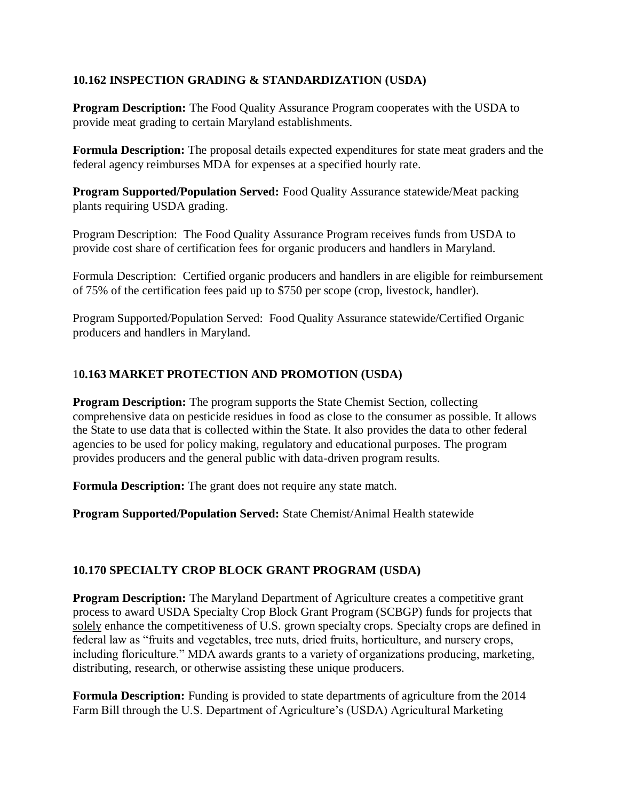### **10.162 INSPECTION GRADING & STANDARDIZATION (USDA)**

**Program Description:** The Food Quality Assurance Program cooperates with the USDA to provide meat grading to certain Maryland establishments.

**Formula Description:** The proposal details expected expenditures for state meat graders and the federal agency reimburses MDA for expenses at a specified hourly rate.

**Program Supported/Population Served:** Food Quality Assurance statewide/Meat packing plants requiring USDA grading.

Program Description: The Food Quality Assurance Program receives funds from USDA to provide cost share of certification fees for organic producers and handlers in Maryland.

Formula Description: Certified organic producers and handlers in are eligible for reimbursement of 75% of the certification fees paid up to \$750 per scope (crop, livestock, handler).

Program Supported/Population Served: Food Quality Assurance statewide/Certified Organic producers and handlers in Maryland.

### 1**0.163 MARKET PROTECTION AND PROMOTION (USDA)**

**Program Description:** The program supports the State Chemist Section, collecting comprehensive data on pesticide residues in food as close to the consumer as possible. It allows the State to use data that is collected within the State. It also provides the data to other federal agencies to be used for policy making, regulatory and educational purposes. The program provides producers and the general public with data-driven program results.

**Formula Description:** The grant does not require any state match.

**Program Supported/Population Served:** State Chemist/Animal Health statewide

# **10.170 SPECIALTY CROP BLOCK GRANT PROGRAM (USDA)**

**Program Description:** The Maryland Department of Agriculture creates a competitive grant process to award USDA Specialty Crop Block Grant Program (SCBGP) funds for projects that solely enhance the competitiveness of U.S. grown specialty crops. Specialty crops are defined in federal law as "fruits and vegetables, tree nuts, dried fruits, horticulture, and nursery crops, including floriculture." MDA awards grants to a variety of organizations producing, marketing, distributing, research, or otherwise assisting these unique producers.

**Formula Description:** Funding is provided to state departments of agriculture from the 2014 Farm Bill through the U.S. Department of Agriculture's (USDA) Agricultural Marketing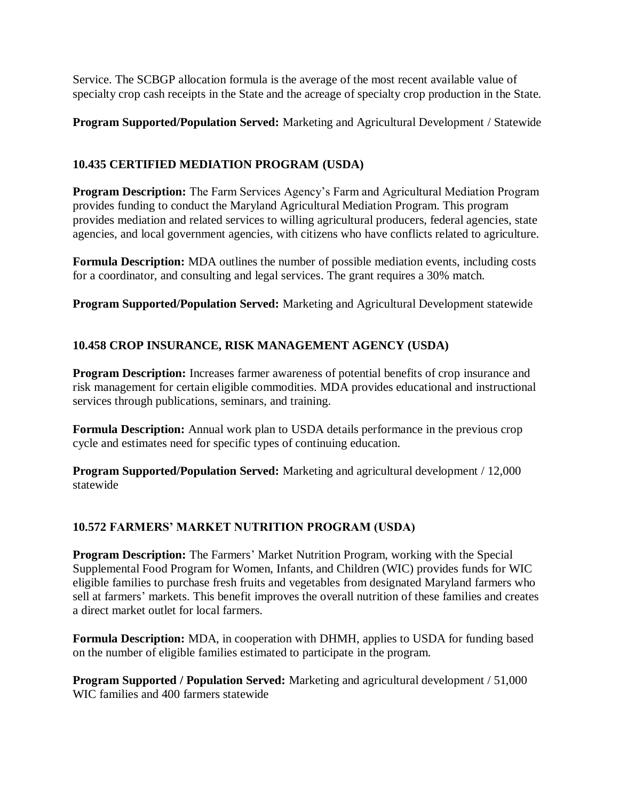Service. The SCBGP allocation formula is the average of the most recent available value of specialty crop cash receipts in the State and the acreage of specialty crop production in the State.

**Program Supported/Population Served:** Marketing and Agricultural Development / Statewide

# **10.435 CERTIFIED MEDIATION PROGRAM (USDA)**

**Program Description:** The Farm Services Agency's Farm and Agricultural Mediation Program provides funding to conduct the Maryland Agricultural Mediation Program. This program provides mediation and related services to willing agricultural producers, federal agencies, state agencies, and local government agencies, with citizens who have conflicts related to agriculture.

**Formula Description:** MDA outlines the number of possible mediation events, including costs for a coordinator, and consulting and legal services. The grant requires a 30% match.

**Program Supported/Population Served:** Marketing and Agricultural Development statewide

# **10.458 CROP INSURANCE, RISK MANAGEMENT AGENCY (USDA)**

**Program Description:** Increases farmer awareness of potential benefits of crop insurance and risk management for certain eligible commodities. MDA provides educational and instructional services through publications, seminars, and training.

**Formula Description:** Annual work plan to USDA details performance in the previous crop cycle and estimates need for specific types of continuing education.

**Program Supported/Population Served:** Marketing and agricultural development / 12,000 statewide

# **10.572 FARMERS' MARKET NUTRITION PROGRAM (USDA)**

**Program Description:** The Farmers' Market Nutrition Program, working with the Special Supplemental Food Program for Women, Infants, and Children (WIC) provides funds for WIC eligible families to purchase fresh fruits and vegetables from designated Maryland farmers who sell at farmers' markets. This benefit improves the overall nutrition of these families and creates a direct market outlet for local farmers.

**Formula Description:** MDA, in cooperation with DHMH, applies to USDA for funding based on the number of eligible families estimated to participate in the program.

**Program Supported / Population Served:** Marketing and agricultural development / 51,000 WIC families and 400 farmers statewide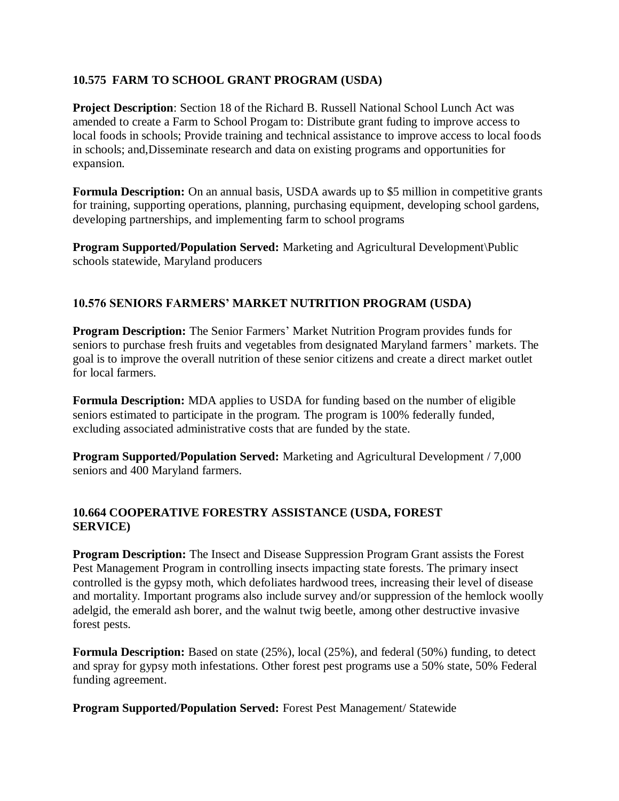### **10.575 FARM TO SCHOOL GRANT PROGRAM (USDA)**

**Project Description**: Section 18 of the Richard B. Russell National School Lunch Act was amended to create a Farm to School Progam to: Distribute grant fuding to improve access to local foods in schools; Provide training and technical assistance to improve access to local foods in schools; and,Disseminate research and data on existing programs and opportunities for expansion.

**Formula Description:** On an annual basis, USDA awards up to \$5 million in competitive grants for training, supporting operations, planning, purchasing equipment, developing school gardens, developing partnerships, and implementing farm to school programs

**Program Supported/Population Served:** Marketing and Agricultural Development\Public schools statewide, Maryland producers

### **10.576 SENIORS FARMERS' MARKET NUTRITION PROGRAM (USDA)**

**Program Description:** The Senior Farmers' Market Nutrition Program provides funds for seniors to purchase fresh fruits and vegetables from designated Maryland farmers' markets. The goal is to improve the overall nutrition of these senior citizens and create a direct market outlet for local farmers.

**Formula Description:** MDA applies to USDA for funding based on the number of eligible seniors estimated to participate in the program. The program is 100% federally funded, excluding associated administrative costs that are funded by the state.

**Program Supported/Population Served:** Marketing and Agricultural Development / 7,000 seniors and 400 Maryland farmers.

### **10.664 COOPERATIVE FORESTRY ASSISTANCE (USDA, FOREST SERVICE)**

**Program Description:** The Insect and Disease Suppression Program Grant assists the Forest Pest Management Program in controlling insects impacting state forests. The primary insect controlled is the gypsy moth, which defoliates hardwood trees, increasing their level of disease and mortality. Important programs also include survey and/or suppression of the hemlock woolly adelgid, the emerald ash borer, and the walnut twig beetle, among other destructive invasive forest pests.

**Formula Description:** Based on state (25%), local (25%), and federal (50%) funding, to detect and spray for gypsy moth infestations. Other forest pest programs use a 50% state, 50% Federal funding agreement.

**Program Supported/Population Served:** Forest Pest Management/ Statewide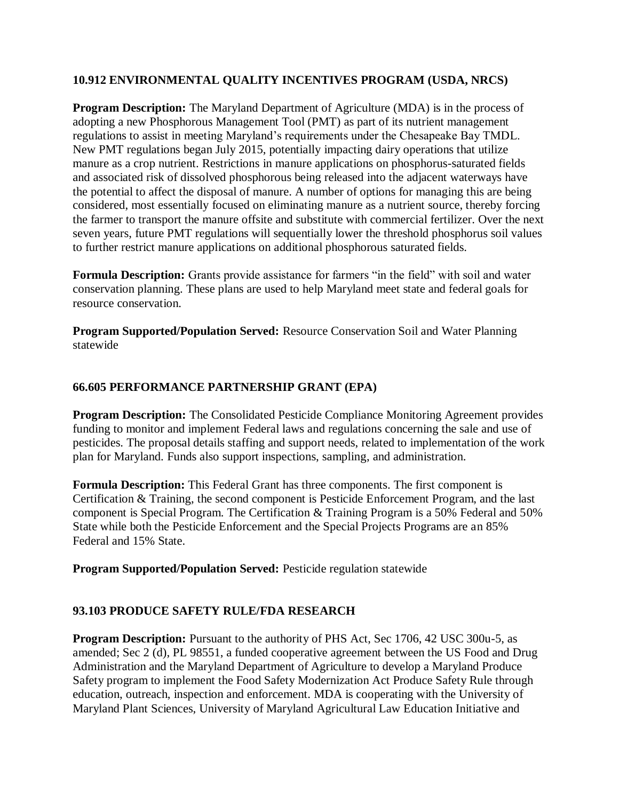### **10.912 ENVIRONMENTAL QUALITY INCENTIVES PROGRAM (USDA, NRCS)**

**Program Description:** The Maryland Department of Agriculture (MDA) is in the process of adopting a new Phosphorous Management Tool (PMT) as part of its nutrient management regulations to assist in meeting Maryland's requirements under the Chesapeake Bay TMDL. New PMT regulations began July 2015, potentially impacting dairy operations that utilize manure as a crop nutrient. Restrictions in manure applications on phosphorus-saturated fields and associated risk of dissolved phosphorous being released into the adjacent waterways have the potential to affect the disposal of manure. A number of options for managing this are being considered, most essentially focused on eliminating manure as a nutrient source, thereby forcing the farmer to transport the manure offsite and substitute with commercial fertilizer. Over the next seven years, future PMT regulations will sequentially lower the threshold phosphorus soil values to further restrict manure applications on additional phosphorous saturated fields.

**Formula Description:** Grants provide assistance for farmers "in the field" with soil and water conservation planning. These plans are used to help Maryland meet state and federal goals for resource conservation.

**Program Supported/Population Served:** Resource Conservation Soil and Water Planning statewide

### **66.605 PERFORMANCE PARTNERSHIP GRANT (EPA)**

**Program Description:** The Consolidated Pesticide Compliance Monitoring Agreement provides funding to monitor and implement Federal laws and regulations concerning the sale and use of pesticides. The proposal details staffing and support needs, related to implementation of the work plan for Maryland. Funds also support inspections, sampling, and administration.

**Formula Description:** This Federal Grant has three components. The first component is Certification & Training, the second component is Pesticide Enforcement Program, and the last component is Special Program. The Certification & Training Program is a 50% Federal and 50% State while both the Pesticide Enforcement and the Special Projects Programs are an 85% Federal and 15% State.

**Program Supported/Population Served: Pesticide regulation statewide** 

#### **93.103 PRODUCE SAFETY RULE/FDA RESEARCH**

**Program Description:** Pursuant to the authority of PHS Act, Sec 1706, 42 USC 300u-5, as amended; Sec 2 (d), PL 98551, a funded cooperative agreement between the US Food and Drug Administration and the Maryland Department of Agriculture to develop a Maryland Produce Safety program to implement the Food Safety Modernization Act Produce Safety Rule through education, outreach, inspection and enforcement. MDA is cooperating with the University of Maryland Plant Sciences, University of Maryland Agricultural Law Education Initiative and